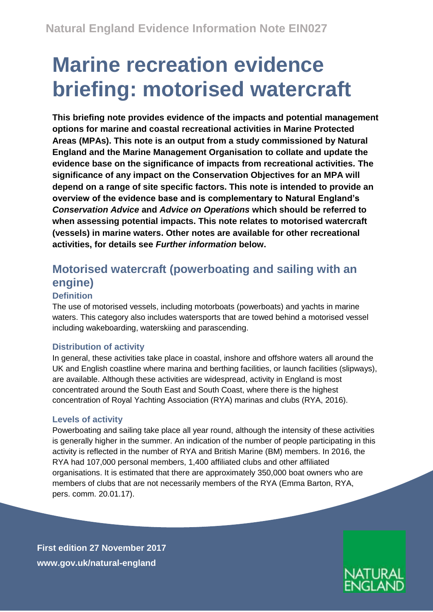# **Marine recreation evidence briefing: motorised watercraft**

**This briefing note provides evidence of the impacts and potential management options for marine and coastal recreational activities in Marine Protected Areas (MPAs). This note is an output from a study commissioned by Natural England and the Marine Management Organisation to collate and update the evidence base on the significance of impacts from recreational activities***.* **The significance of any impact on the Conservation Objectives for an MPA will depend on a range of site specific factors. This note is intended to provide an overview of the evidence base and is complementary to Natural England's**  *Conservation Advice* **and** *Advice on Operations* **which should be referred to when assessing potential impacts. This note relates to motorised watercraft (vessels) in marine waters. Other notes are available for other recreational activities, for details see** *Further information* **below.**

## **Motorised watercraft (powerboating and sailing with an engine)**

### **Definition**

The use of motorised vessels, including motorboats (powerboats) and yachts in marine waters. This category also includes watersports that are towed behind a motorised vessel including wakeboarding, waterskiing and parascending.

### **Distribution of activity**

In general, these activities take place in coastal, inshore and offshore waters all around the UK and English coastline where marina and berthing facilities, or launch facilities (slipways), are available. Although these activities are widespread, activity in England is most concentrated around the South East and South Coast, where there is the highest concentration of Royal Yachting Association (RYA) marinas and clubs (RYA, 2016).

### **Levels of activity**

Powerboating and sailing take place all year round, although the intensity of these activities is generally higher in the summer. An indication of the number of people participating in this activity is reflected in the number of RYA and British Marine (BM) members. In 2016, the RYA had 107,000 personal members, 1,400 affiliated clubs and other affiliated organisations. It is estimated that there are approximately 350,000 boat owners who are members of clubs that are not necessarily members of the RYA (Emma Barton, RYA, pers. comm. 20.01.17).

**First edition 27 November 2017 [www.gov.uk/natural-england](http://www.gov.uk/natural-england)**

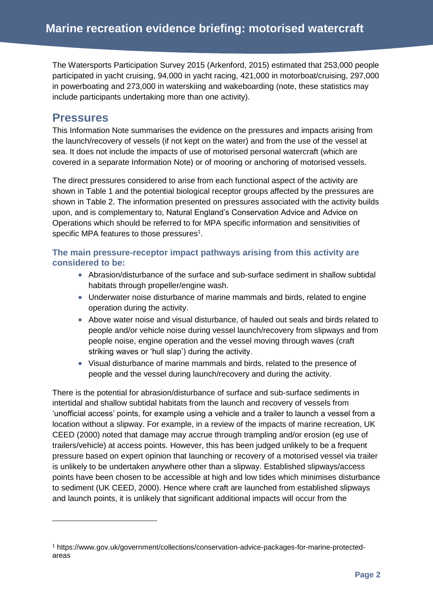The Watersports Participation Survey 2015 (Arkenford, 2015) estimated that 253,000 people participated in yacht cruising, 94,000 in yacht racing, 421,000 in motorboat/cruising, 297,000 in powerboating and 273,000 in waterskiing and wakeboarding (note, these statistics may include participants undertaking more than one activity).

### **Pressures**

-

This Information Note summarises the evidence on the pressures and impacts arising from the launch/recovery of vessels (if not kept on the water) and from the use of the vessel at sea. It does not include the impacts of use of motorised personal watercraft (which are covered in a separate Information Note) or of mooring or anchoring of motorised vessels.

The direct pressures considered to arise from each functional aspect of the activity are shown in Table 1 and the potential biological receptor groups affected by the pressures are shown in Table 2. The information presented on pressures associated with the activity builds upon, and is complementary to, Natural England's Conservation Advice and Advice on Operations which should be referred to for MPA specific information and sensitivities of specific MPA features to those pressures<sup>1</sup>.

### **The main pressure-receptor impact pathways arising from this activity are considered to be:**

- Abrasion/disturbance of the surface and sub-surface sediment in shallow subtidal habitats through propeller/engine wash.
- Underwater noise disturbance of marine mammals and birds, related to engine operation during the activity.
- Above water noise and visual disturbance, of hauled out seals and birds related to people and/or vehicle noise during vessel launch/recovery from slipways and from people noise, engine operation and the vessel moving through waves (craft striking waves or 'hull slap') during the activity.
- Visual disturbance of marine mammals and birds, related to the presence of people and the vessel during launch/recovery and during the activity.

There is the potential for abrasion/disturbance of surface and sub-surface sediments in intertidal and shallow subtidal habitats from the launch and recovery of vessels from 'unofficial access' points, for example using a vehicle and a trailer to launch a vessel from a location without a slipway. For example, in a review of the impacts of marine recreation, UK CEED (2000) noted that damage may accrue through trampling and/or erosion (eg use of trailers/vehicle) at access points. However, this has been judged unlikely to be a frequent pressure based on expert opinion that launching or recovery of a motorised vessel via trailer is unlikely to be undertaken anywhere other than a slipway. Established slipways/access points have been chosen to be accessible at high and low tides which minimises disturbance to sediment (UK CEED, 2000). Hence where craft are launched from established slipways and launch points, it is unlikely that significant additional impacts will occur from the

<sup>1</sup> https://www.gov.uk/government/collections/conservation-advice-packages-for-marine-protectedareas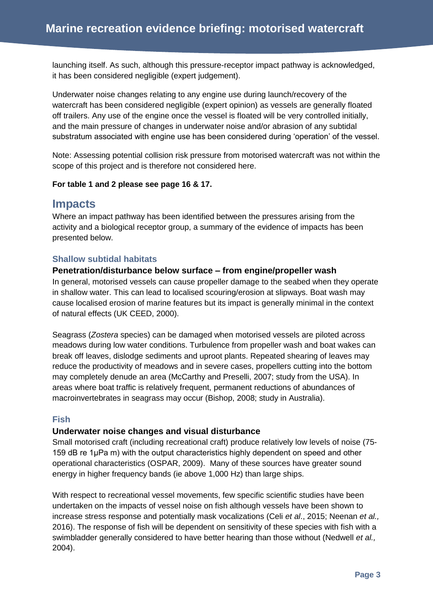launching itself. As such, although this pressure-receptor impact pathway is acknowledged, it has been considered negligible (expert judgement).

Underwater noise changes relating to any engine use during launch/recovery of the watercraft has been considered negligible (expert opinion) as vessels are generally floated off trailers. Any use of the engine once the vessel is floated will be very controlled initially, and the main pressure of changes in underwater noise and/or abrasion of any subtidal substratum associated with engine use has been considered during 'operation' of the vessel.

Note: Assessing potential collision risk pressure from motorised watercraft was not within the scope of this project and is therefore not considered here.

### **For table 1 and 2 please see page 16 & 17.**

### **Impacts**

Where an impact pathway has been identified between the pressures arising from the activity and a biological receptor group, a summary of the evidence of impacts has been presented below.

### **Shallow subtidal habitats**

### **Penetration/disturbance below surface – from engine/propeller wash**

In general, motorised vessels can cause propeller damage to the seabed when they operate in shallow water. This can lead to localised scouring/erosion at slipways. Boat wash may cause localised erosion of marine features but its impact is generally minimal in the context of natural effects (UK CEED, 2000).

Seagrass (*Zostera* species) can be damaged when motorised vessels are piloted across meadows during low water conditions. Turbulence from propeller wash and boat wakes can break off leaves, dislodge sediments and uproot plants. Repeated shearing of leaves may reduce the productivity of meadows and in severe cases, propellers cutting into the bottom may completely denude an area (McCarthy and Preselli, 2007; study from the USA). In areas where boat traffic is relatively frequent, permanent reductions of abundances of macroinvertebrates in seagrass may occur (Bishop, 2008; study in Australia).

### **Fish**

### **Underwater noise changes and visual disturbance**

Small motorised craft (including recreational craft) produce relatively low levels of noise (75- 159 dB re 1μPa m) with the output characteristics highly dependent on speed and other operational characteristics (OSPAR, 2009). Many of these sources have greater sound energy in higher frequency bands (ie above 1,000 Hz) than large ships.

With respect to recreational vessel movements, few specific scientific studies have been undertaken on the impacts of vessel noise on fish although vessels have been shown to increase stress response and potentially mask vocalizations (Celi *et al*., 2015; Neenan *et al.,* 2016). The response of fish will be dependent on sensitivity of these species with fish with a swimbladder generally considered to have better hearing than those without (Nedwell *et al.,*  2004).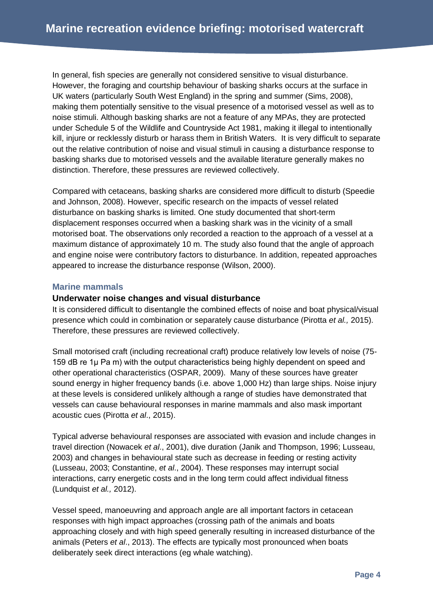In general, fish species are generally not considered sensitive to visual disturbance. However, the foraging and courtship behaviour of basking sharks occurs at the surface in UK waters (particularly South West England) in the spring and summer (Sims, 2008), making them potentially sensitive to the visual presence of a motorised vessel as well as to noise stimuli. Although basking sharks are not a feature of any MPAs, they are protected under Schedule 5 of the Wildlife and Countryside Act 1981, making it illegal to intentionally kill, injure or recklessly disturb or harass them in British Waters. It is very difficult to separate out the relative contribution of noise and visual stimuli in causing a disturbance response to basking sharks due to motorised vessels and the available literature generally makes no distinction. Therefore, these pressures are reviewed collectively.

Compared with cetaceans, basking sharks are considered more difficult to disturb (Speedie and Johnson, 2008). However, specific research on the impacts of vessel related disturbance on basking sharks is limited. One study documented that short-term displacement responses occurred when a basking shark was in the vicinity of a small motorised boat. The observations only recorded a reaction to the approach of a vessel at a maximum distance of approximately 10 m. The study also found that the angle of approach and engine noise were contributory factors to disturbance. In addition, repeated approaches appeared to increase the disturbance response (Wilson, 2000).

### **Marine mammals**

### **Underwater noise changes and visual disturbance**

It is considered difficult to disentangle the combined effects of noise and boat physical/visual presence which could in combination or separately cause disturbance (Pirotta *et al.,* 2015). Therefore, these pressures are reviewed collectively.

Small motorised craft (including recreational craft) produce relatively low levels of noise (75- 159 dB re 1µ Pa m) with the output characteristics being highly dependent on speed and other operational characteristics (OSPAR, 2009). Many of these sources have greater sound energy in higher frequency bands (i.e. above 1,000 Hz) than large ships. Noise injury at these levels is considered unlikely although a range of studies have demonstrated that vessels can cause behavioural responses in marine mammals and also mask important acoustic cues (Pirotta *et al*., 2015).

Typical adverse behavioural responses are associated with evasion and include changes in travel direction (Nowacek *et al*., 2001), dive duration (Janik and Thompson, 1996; Lusseau, 2003) and changes in behavioural state such as decrease in feeding or resting activity (Lusseau, 2003; Constantine, *et al*., 2004). These responses may interrupt social interactions, carry energetic costs and in the long term could affect individual fitness (Lundquist *et al.,* 2012).

Vessel speed, manoeuvring and approach angle are all important factors in cetacean responses with high impact approaches (crossing path of the animals and boats approaching closely and with high speed generally resulting in increased disturbance of the animals (Peters *et al*., 2013). The effects are typically most pronounced when boats deliberately seek direct interactions (eg whale watching).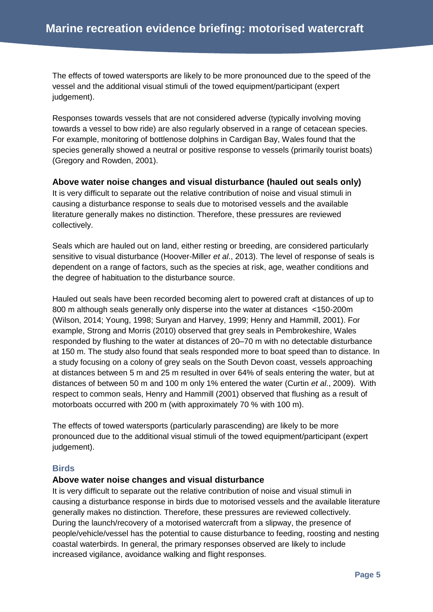The effects of towed watersports are likely to be more pronounced due to the speed of the vessel and the additional visual stimuli of the towed equipment/participant (expert judgement).

Responses towards vessels that are not considered adverse (typically involving moving towards a vessel to bow ride) are also regularly observed in a range of cetacean species. For example, monitoring of bottlenose dolphins in Cardigan Bay, Wales found that the species generally showed a neutral or positive response to vessels (primarily tourist boats) (Gregory and Rowden, 2001).

### **Above water noise changes and visual disturbance (hauled out seals only)**

It is very difficult to separate out the relative contribution of noise and visual stimuli in causing a disturbance response to seals due to motorised vessels and the available literature generally makes no distinction. Therefore, these pressures are reviewed collectively.

Seals which are hauled out on land, either resting or breeding, are considered particularly sensitive to visual disturbance (Hoover-Miller *et al*., 2013). The level of response of seals is dependent on a range of factors, such as the species at risk, age, weather conditions and the degree of habituation to the disturbance source.

Hauled out seals have been recorded becoming alert to powered craft at distances of up to 800 m although seals generally only disperse into the water at distances <150-200m (Wilson, 2014; Young, 1998; Suryan and Harvey, 1999; Henry and Hammill, 2001). For example, Strong and Morris (2010) observed that grey seals in Pembrokeshire, Wales responded by flushing to the water at distances of 20–70 m with no detectable disturbance at 150 m. The study also found that seals responded more to boat speed than to distance. In a study focusing on a colony of grey seals on the South Devon coast, vessels approaching at distances between 5 m and 25 m resulted in over 64% of seals entering the water, but at distances of between 50 m and 100 m only 1% entered the water (Curtin *et al*., 2009). With respect to common seals, Henry and Hammill (2001) observed that flushing as a result of motorboats occurred with 200 m (with approximately 70 % with 100 m).

The effects of towed watersports (particularly parascending) are likely to be more pronounced due to the additional visual stimuli of the towed equipment/participant (expert judgement).

### **Birds**

### **Above water noise changes and visual disturbance**

It is very difficult to separate out the relative contribution of noise and visual stimuli in causing a disturbance response in birds due to motorised vessels and the available literature generally makes no distinction. Therefore, these pressures are reviewed collectively. During the launch/recovery of a motorised watercraft from a slipway, the presence of people/vehicle/vessel has the potential to cause disturbance to feeding, roosting and nesting coastal waterbirds. In general, the primary responses observed are likely to include increased vigilance, avoidance walking and flight responses.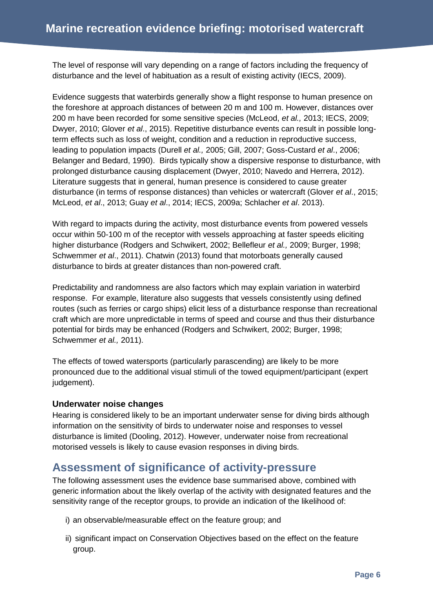The level of response will vary depending on a range of factors including the frequency of disturbance and the level of habituation as a result of existing activity (IECS, 2009).

Evidence suggests that waterbirds generally show a flight response to human presence on the foreshore at approach distances of between 20 m and 100 m. However, distances over 200 m have been recorded for some sensitive species (McLeod, *et al.,* 2013; IECS, 2009; Dwyer, 2010; Glover *et al*., 2015). Repetitive disturbance events can result in possible longterm effects such as loss of weight, condition and a reduction in reproductive success, leading to population impacts (Durell *et al.,* 2005; Gill, 2007; Goss-Custard *et al*., 2006; Belanger and Bedard, 1990). Birds typically show a dispersive response to disturbance, with prolonged disturbance causing displacement (Dwyer, 2010; Navedo and Herrera, 2012). Literature suggests that in general, human presence is considered to cause greater disturbance (in terms of response distances) than vehicles or watercraft (Glover *et al*., 2015; McLeod, *et al*., 2013; Guay *et al*., 2014; IECS, 2009a; Schlacher *et al*. 2013).

With regard to impacts during the activity, most disturbance events from powered vessels occur within 50-100 m of the receptor with vessels approaching at faster speeds eliciting higher disturbance (Rodgers and Schwikert, 2002; Bellefleur *et al.,* 2009; Burger, 1998; Schwemmer *et al*., 2011). Chatwin (2013) found that motorboats generally caused disturbance to birds at greater distances than non-powered craft.

Predictability and randomness are also factors which may explain variation in waterbird response. For example, literature also suggests that vessels consistently using defined routes (such as ferries or cargo ships) elicit less of a disturbance response than recreational craft which are more unpredictable in terms of speed and course and thus their disturbance potential for birds may be enhanced (Rodgers and Schwikert, 2002; Burger, 1998; Schwemmer *et al.,* 2011).

The effects of towed watersports (particularly parascending) are likely to be more pronounced due to the additional visual stimuli of the towed equipment/participant (expert judgement).

### **Underwater noise changes**

Hearing is considered likely to be an important underwater sense for diving birds although information on the sensitivity of birds to underwater noise and responses to vessel disturbance is limited (Dooling, 2012). However, underwater noise from recreational motorised vessels is likely to cause evasion responses in diving birds.

### **Assessment of significance of activity-pressure**

The following assessment uses the evidence base summarised above, combined with generic information about the likely overlap of the activity with designated features and the sensitivity range of the receptor groups, to provide an indication of the likelihood of:

- i) an observable/measurable effect on the feature group; and
- ii) significant impact on Conservation Objectives based on the effect on the feature group.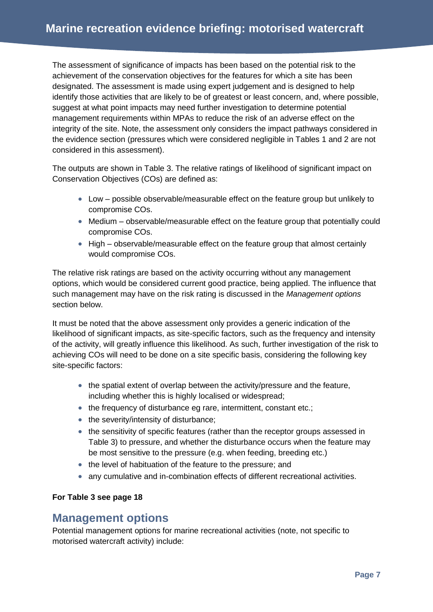The assessment of significance of impacts has been based on the potential risk to the achievement of the conservation objectives for the features for which a site has been designated. The assessment is made using expert judgement and is designed to help identify those activities that are likely to be of greatest or least concern, and, where possible, suggest at what point impacts may need further investigation to determine potential management requirements within MPAs to reduce the risk of an adverse effect on the integrity of the site. Note, the assessment only considers the impact pathways considered in the evidence section (pressures which were considered negligible in Tables 1 and 2 are not considered in this assessment).

The outputs are shown in Table 3. The relative ratings of likelihood of significant impact on Conservation Objectives (COs) are defined as:

- Low possible observable/measurable effect on the feature group but unlikely to compromise COs.
- Medium observable/measurable effect on the feature group that potentially could compromise COs.
- High observable/measurable effect on the feature group that almost certainly would compromise COs.

The relative risk ratings are based on the activity occurring without any management options, which would be considered current good practice, being applied. The influence that such management may have on the risk rating is discussed in the *Management options* section below.

It must be noted that the above assessment only provides a generic indication of the likelihood of significant impacts, as site-specific factors, such as the frequency and intensity of the activity, will greatly influence this likelihood. As such, further investigation of the risk to achieving COs will need to be done on a site specific basis, considering the following key site-specific factors:

- the spatial extent of overlap between the activity/pressure and the feature, including whether this is highly localised or widespread;
- the frequency of disturbance eg rare, intermittent, constant etc.;
- the severity/intensity of disturbance;
- the sensitivity of specific features (rather than the receptor groups assessed in Table 3) to pressure, and whether the disturbance occurs when the feature may be most sensitive to the pressure (e.g. when feeding, breeding etc.)
- the level of habituation of the feature to the pressure; and
- any cumulative and in-combination effects of different recreational activities.

### **For Table 3 see page 18**

### **Management options**

Potential management options for marine recreational activities (note, not specific to motorised watercraft activity) include: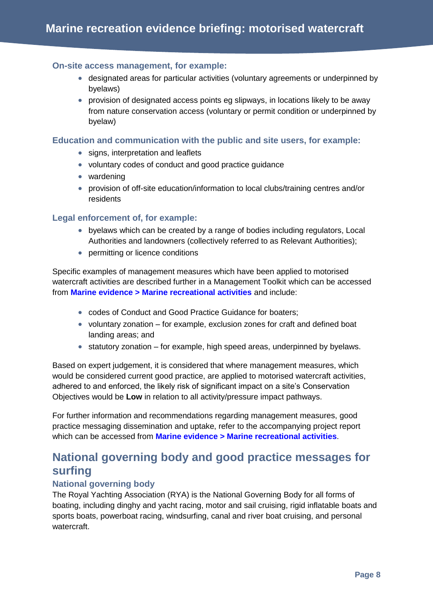### **On-site access management, for example:**

- designated areas for particular activities (voluntary agreements or underpinned by byelaws)
- provision of designated access points eg slipways, in locations likely to be away from nature conservation access (voluntary or permit condition or underpinned by byelaw)

### **Education and communication with the public and site users, for example:**

- signs, interpretation and leaflets
- voluntary codes of conduct and good practice guidance
- wardening
- provision of off-site education/information to local clubs/training centres and/or residents

### **Legal enforcement of, for example:**

- byelaws which can be created by a range of bodies including regulators, Local Authorities and landowners (collectively referred to as Relevant Authorities);
- permitting or licence conditions

Specific examples of management measures which have been applied to motorised watercraft activities are described further in a Management Toolkit which can be accessed from **[Marine evidence > Marine recreational activities](http://publications.naturalengland.org.uk/category/4891006631149568)** and include:

- codes of Conduct and Good Practice Guidance for boaters;
- voluntary zonation for example, exclusion zones for craft and defined boat landing areas; and
- $\bullet$  statutory zonation for example, high speed areas, underpinned by byelaws.

Based on expert judgement, it is considered that where management measures, which would be considered current good practice, are applied to motorised watercraft activities, adhered to and enforced, the likely risk of significant impact on a site's Conservation Objectives would be **Low** in relation to all activity/pressure impact pathways.

For further information and recommendations regarding management measures, good practice messaging dissemination and uptake, refer to the accompanying project report which can be accessed from **[Marine evidence > Marine recreational activities](http://publications.naturalengland.org.uk/category/4891006631149568)**.

### **National governing body and good practice messages for surfing**

### **National governing body**

The Royal Yachting Association (RYA) is the National Governing Body for all forms of boating, including dinghy and yacht racing, motor and sail cruising, rigid inflatable boats and sports boats, powerboat racing, windsurfing, canal and river boat cruising, and personal watercraft.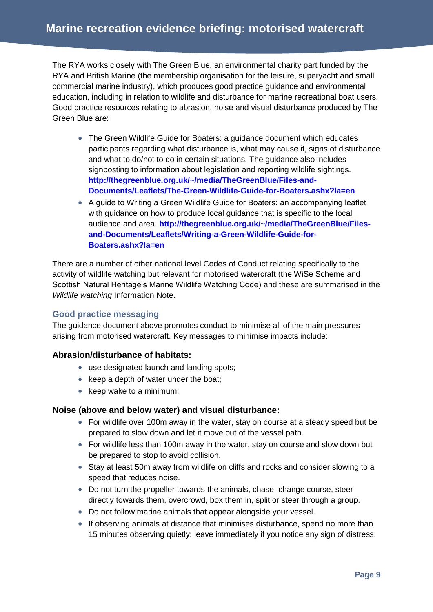The RYA works closely with The Green Blue, an environmental charity part funded by the RYA and British Marine (the membership organisation for the leisure, superyacht and small commercial marine industry), which produces good practice guidance and environmental education, including in relation to wildlife and disturbance for marine recreational boat users. Good practice resources relating to abrasion, noise and visual disturbance produced by The Green Blue are:

- The Green Wildlife Guide for Boaters: a guidance document which educates participants regarding what disturbance is, what may cause it, signs of disturbance and what to do/not to do in certain situations. The guidance also includes signposting to information about legislation and reporting wildlife sightings. **[http://thegreenblue.org.uk/~/media/TheGreenBlue/Files-and-](http://thegreenblue.org.uk/~/media/TheGreenBlue/Files-and-Documents/Leaflets/The-Green-Wildlife-Guide-for-Boaters.ashx?la=en)[Documents/Leaflets/The-Green-Wildlife-Guide-for-Boaters.ashx?la=en](http://thegreenblue.org.uk/~/media/TheGreenBlue/Files-and-Documents/Leaflets/The-Green-Wildlife-Guide-for-Boaters.ashx?la=en)**
- A guide to Writing a Green Wildlife Guide for Boaters: an accompanying leaflet with guidance on how to produce local guidance that is specific to the local audience and area. **[http://thegreenblue.org.uk/~/media/TheGreenBlue/Files](http://thegreenblue.org.uk/~/media/TheGreenBlue/Files-and-Documents/Leaflets/Writing-a-Green-Wildlife-Guide-for-Boaters.ashx?la=en)[and-Documents/Leaflets/Writing-a-Green-Wildlife-Guide-for-](http://thegreenblue.org.uk/~/media/TheGreenBlue/Files-and-Documents/Leaflets/Writing-a-Green-Wildlife-Guide-for-Boaters.ashx?la=en)[Boaters.ashx?la=en](http://thegreenblue.org.uk/~/media/TheGreenBlue/Files-and-Documents/Leaflets/Writing-a-Green-Wildlife-Guide-for-Boaters.ashx?la=en)**

There are a number of other national level Codes of Conduct relating specifically to the activity of wildlife watching but relevant for motorised watercraft (the WiSe Scheme and Scottish Natural Heritage's Marine Wildlife Watching Code) and these are summarised in the *Wildlife watching* Information Note.

### **Good practice messaging**

The guidance document above promotes conduct to minimise all of the main pressures arising from motorised watercraft. Key messages to minimise impacts include:

### **Abrasion/disturbance of habitats:**

- use designated launch and landing spots;
- $\bullet$  keep a depth of water under the boat;
- $\bullet$  keep wake to a minimum;

### **Noise (above and below water) and visual disturbance:**

- For wildlife over 100m away in the water, stay on course at a steady speed but be prepared to slow down and let it move out of the vessel path.
- For wildlife less than 100m away in the water, stay on course and slow down but be prepared to stop to avoid collision.
- Stay at least 50m away from wildlife on cliffs and rocks and consider slowing to a speed that reduces noise.
- Do not turn the propeller towards the animals, chase, change course, steer directly towards them, overcrowd, box them in, split or steer through a group.
- Do not follow marine animals that appear alongside your vessel.
- If observing animals at distance that minimises disturbance, spend no more than 15 minutes observing quietly; leave immediately if you notice any sign of distress.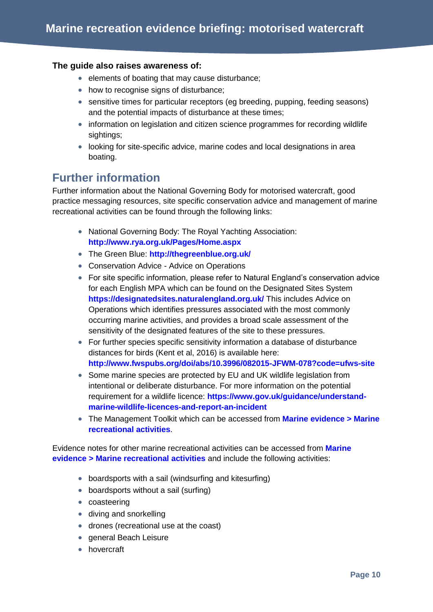### **The guide also raises awareness of:**

- elements of boating that may cause disturbance;
- how to recognise signs of disturbance;
- sensitive times for particular receptors (eg breeding, pupping, feeding seasons) and the potential impacts of disturbance at these times;
- information on legislation and citizen science programmes for recording wildlife sightings;
- looking for site-specific advice, marine codes and local designations in area boating.

### **Further information**

Further information about the National Governing Body for motorised watercraft, good practice messaging resources, site specific conservation advice and management of marine recreational activities can be found through the following links:

- National Governing Body: The Royal Yachting Association: **<http://www.rya.org.uk/Pages/Home.aspx>**
- The Green Blue: **<http://thegreenblue.org.uk/>**
- Conservation Advice Advice on Operations
- For site specific information, please refer to Natural England's conservation advice for each English MPA which can be found on the Designated Sites System **<https://designatedsites.naturalengland.org.uk/>** This includes Advice on Operations which identifies pressures associated with the most commonly occurring marine activities, and provides a broad scale assessment of the sensitivity of the designated features of the site to these pressures.
- For further species specific sensitivity information a database of disturbance distances for birds (Kent et al, 2016) is available here: **<http://www.fwspubs.org/doi/abs/10.3996/082015-JFWM-078?code=ufws-site>**
- Some marine species are protected by EU and UK wildlife legislation from intentional or deliberate disturbance. For more information on the potential requirement for a wildlife licence: **[https://www.gov.uk/guidance/understand](https://www.gov.uk/guidance/understand-marine-wildlife-licences-and-report-an-incident)[marine-wildlife-licences-and-report-an-incident](https://www.gov.uk/guidance/understand-marine-wildlife-licences-and-report-an-incident)**
- The Management Toolkit which can be accessed from **[Marine evidence > Marine](http://publications.naturalengland.org.uk/category/4891006631149568)  [recreational activities](http://publications.naturalengland.org.uk/category/4891006631149568)**.

Evidence notes for other marine recreational activities can be accessed from **[Marine](http://publications.naturalengland.org.uk/category/4891006631149568)  [evidence > Marine recreational activities](http://publications.naturalengland.org.uk/category/4891006631149568)** and include the following activities:

- boardsports with a sail (windsurfing and kitesurfing)
- boardsports without a sail (surfing)
- coasteering
- diving and snorkelling
- drones (recreational use at the coast)
- **•** general Beach Leisure
- **•** hovercraft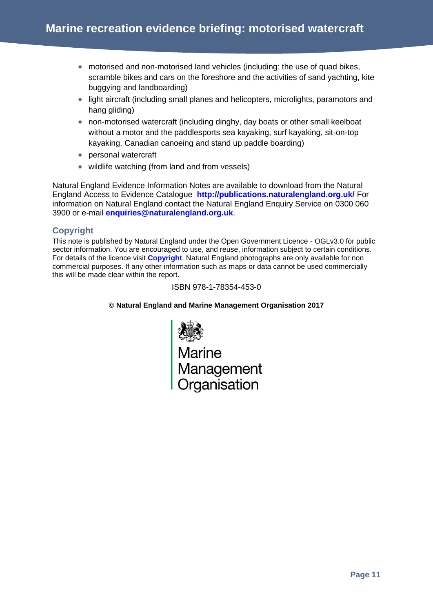- motorised and non-motorised land vehicles (including: the use of quad bikes, scramble bikes and cars on the foreshore and the activities of sand yachting, kite buggying and landboarding)
- light aircraft (including small planes and helicopters, microlights, paramotors and hang gliding)
- non-motorised watercraft (including dinghy, day boats or other small keelboat without a motor and the paddlesports sea kayaking, surf kayaking, sit-on-top kayaking, Canadian canoeing and stand up paddle boarding)
- personal watercraft
- wildlife watching (from land and from vessels)

Natural England Evidence Information Notes are available to download from the Natural England Access to Evidence Catalogue **<http://publications.naturalengland.org.uk/>** For information on Natural England contact the Natural England Enquiry Service on 0300 060 3900 or e-mail **[enquiries@naturalengland.org.uk](mailto:enquiries@naturalengland.org.uk)**.

### **Copyright**

This note is published by Natural England under the Open Government Licence - OGLv3.0 for public sector information. You are encouraged to use, and reuse, information subject to certain conditions. For details of the licence visit **[Copyright](http://publications.naturalengland.org.uk/copyright)**. Natural England photographs are only available for non commercial purposes. If any other information such as maps or data cannot be used commercially this will be made clear within the report.

#### ISBN 978-1-78354-453-0

#### **© Natural England and Marine Management Organisation 2017**

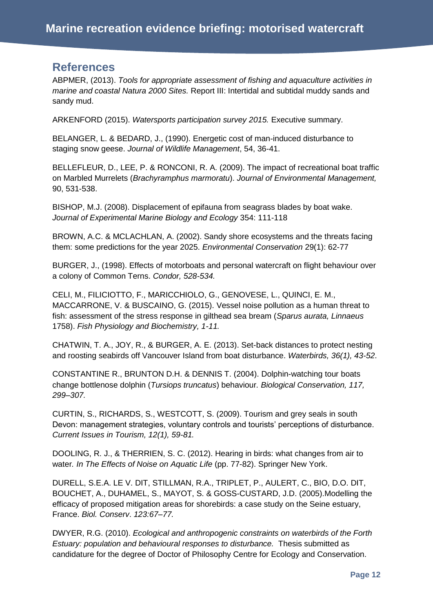### **References**

ABPMER, (2013). *Tools for appropriate assessment of fishing and aquaculture activities in marine and coastal Natura 2000 Sites.* Report III: Intertidal and subtidal muddy sands and sandy mud.

ARKENFORD (2015). *Watersports participation survey 2015.* Executive summary.

BELANGER, L. & BEDARD, J., (1990). Energetic cost of man-induced disturbance to staging snow geese. *Journal of Wildlife Management*, 54, 36-41.

BELLEFLEUR, D., LEE, P. & RONCONI, R. A. (2009). The impact of recreational boat traffic on Marbled Murrelets (*Brachyramphus marmoratu*). *Journal of Environmental Management,* 90, 531-538.

BISHOP, M.J. (2008). Displacement of epifauna from seagrass blades by boat wake. *Journal of Experimental Marine Biology and Ecology* 354: 111-118

BROWN, A.C. & MCLACHLAN, A. (2002). Sandy shore ecosystems and the threats facing them: some predictions for the year 2025. *Environmental Conservation* 29(1): 62-77

BURGER, J., (1998). Effects of motorboats and personal watercraft on flight behaviour over a colony of Common Terns. *Condor, 528-534.*

CELI, M., FILICIOTTO, F., MARICCHIOLO, G., GENOVESE, L., QUINCI, E. M., MACCARRONE, V. & BUSCAINO, G. (2015). Vessel noise pollution as a human threat to fish: assessment of the stress response in gilthead sea bream (*Sparus aurata, Linnaeus* 1758). *Fish Physiology and Biochemistry, 1-11.*

CHATWIN, T. A., JOY, R., & BURGER, A. E. (2013). Set-back distances to protect nesting and roosting seabirds off Vancouver Island from boat disturbance. *Waterbirds, 36(1), 43-52*.

CONSTANTINE R., BRUNTON D.H. & DENNIS T. (2004). Dolphin-watching tour boats change bottlenose dolphin (*Tursiops truncatus*) behaviour*. Biological Conservation, 117, 299–307.*

CURTIN, S., RICHARDS, S., WESTCOTT, S. (2009). Tourism and grey seals in south Devon: management strategies, voluntary controls and tourists' perceptions of disturbance. *Current Issues in Tourism, 12(1), 59-81.*

DOOLING, R. J., & THERRIEN, S. C. (2012). Hearing in birds: what changes from air to water*. In The Effects of Noise on Aquatic Life* (pp. 77-82). Springer New York.

DURELL, S.E.A. LE V. DIT, STILLMAN, R.A., TRIPLET, P., AULERT, C., BIO, D.O. DIT, BOUCHET, A., DUHAMEL, S., MAYOT, S. & GOSS-CUSTARD, J.D. (2005).Modelling the efficacy of proposed mitigation areas for shorebirds: a case study on the Seine estuary, France. *Biol. Conserv*. *123:67–77.*

DWYER, R.G. (2010). *Ecological and anthropogenic constraints on waterbirds of the Forth Estuary: population and behavioural responses to disturbance.* Thesis submitted as candidature for the degree of Doctor of Philosophy Centre for Ecology and Conservation.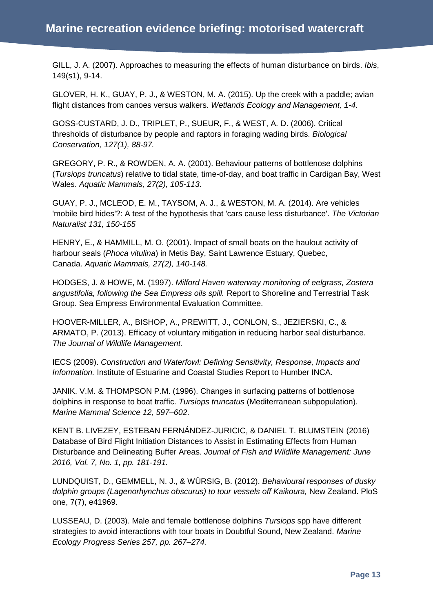GILL, J. A. (2007). Approaches to measuring the effects of human disturbance on birds. *Ibis*, 149(s1), 9-14.

GLOVER, H. K., GUAY, P. J., & WESTON, M. A. (2015). Up the creek with a paddle; avian flight distances from canoes versus walkers. *Wetlands Ecology and Management, 1-4.*

GOSS-CUSTARD, J. D., TRIPLET, P., SUEUR, F., & WEST, A. D. (2006). Critical thresholds of disturbance by people and raptors in foraging wading birds. *Biological Conservation, 127(1), 88-97.*

GREGORY, P. R., & ROWDEN, A. A. (2001). Behaviour patterns of bottlenose dolphins (*Tursiops truncatus*) relative to tidal state, time-of-day, and boat traffic in Cardigan Bay, West Wales. *Aquatic Mammals, 27(2), 105-113.*

GUAY, P. J., MCLEOD, E. M., TAYSOM, A. J., & WESTON, M. A. (2014). Are vehicles 'mobile bird hides'?: A test of the hypothesis that 'cars cause less disturbance'. *The Victorian Naturalist 131, 150-155*

HENRY, E., & HAMMILL, M. O. (2001). Impact of small boats on the haulout activity of harbour seals (*Phoca vitulina*) in Metis Bay, Saint Lawrence Estuary, Quebec, Canada. *Aquatic Mammals, 27(2), 140-148.*

HODGES, J. & HOWE, M. (1997). *Milford Haven waterway monitoring of eelgrass, Zostera angustifolia, following the Sea Empress oils spill.* Report to Shoreline and Terrestrial Task Group. Sea Empress Environmental Evaluation Committee.

HOOVER-MILLER, A., BISHOP, A., PREWITT, J., CONLON, S., JEZIERSKI, C., & ARMATO, P. (2013). Efficacy of voluntary mitigation in reducing harbor seal disturbance. *The Journal of Wildlife Management.*

IECS (2009). *Construction and Waterfowl: Defining Sensitivity, Response, Impacts and Information.* Institute of Estuarine and Coastal Studies Report to Humber INCA.

JANIK. V.M. & THOMPSON P.M. (1996). Changes in surfacing patterns of bottlenose dolphins in response to boat traffic. *Tursiops truncatus* (Mediterranean subpopulation). *Marine Mammal Science 12, 597–602*.

KENT B. LIVEZEY, ESTEBAN FERNÁNDEZ-JURICIC, & DANIEL T. BLUMSTEIN (2016) Database of Bird Flight Initiation Distances to Assist in Estimating Effects from Human Disturbance and Delineating Buffer Areas. *Journal of Fish and Wildlife Management: June 2016, Vol. 7, No. 1, pp. 181-191.*

LUNDQUIST, D., GEMMELL, N. J., & WÜRSIG, B. (2012). *Behavioural responses of dusky dolphin groups (Lagenorhynchus obscurus) to tour vessels off Kaikoura,* New Zealand. PloS one, 7(7), e41969.

LUSSEAU, D. (2003). Male and female bottlenose dolphins *Tursiops* spp have different strategies to avoid interactions with tour boats in Doubtful Sound, New Zealand. *Marine Ecology Progress Series 257, pp. 267–274.*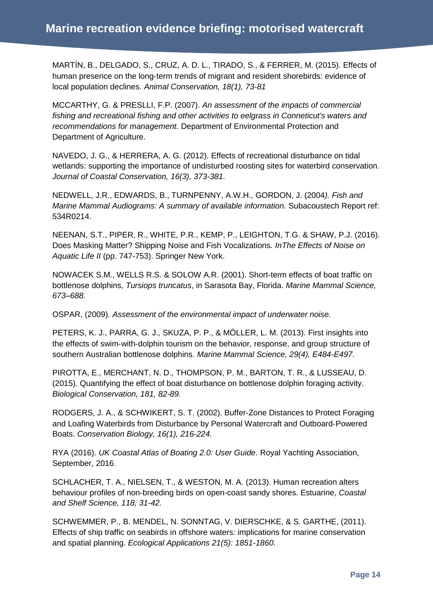MARTÍN, B., DELGADO, S., CRUZ, A. D. L., TIRADO, S., & FERRER, M. (2015). Effects of human presence on the long‐term trends of migrant and resident shorebirds: evidence of local population declines. *Animal Conservation, 18(1), 73-81*

MCCARTHY, G. & PRESLLI, F.P. (2007). *An assessment of the impacts of commercial fishing and recreational fishing and other activities to eelgrass in Conneticut's waters and recommendations for management.* Department of Environmental Protection and Department of Agriculture.

NAVEDO, J. G., & HERRERA, A. G. (2012). Effects of recreational disturbance on tidal wetlands: supporting the importance of undisturbed roosting sites for waterbird conservation. *Journal of Coastal Conservation, 16(3), 373-381.*

NEDWELL, J.R., EDWARDS, B., TURNPENNY, A.W.H., GORDON, J. (2004*). Fish and Marine Mammal Audiograms: A summary of available information.* Subacoustech Report ref: 534R0214.

NEENAN, S.T., PIPER, R., WHITE, P.R., KEMP, P., LEIGHTON, T.G. & SHAW, P.J. (2016). Does Masking Matter? Shipping Noise and Fish Vocalizations*. InThe Effects of Noise on Aquatic Life II* (pp. 747-753). Springer New York.

NOWACEK S.M., WELLS R.S. & SOLOW A.R. (2001). Short-term effects of boat traffic on bottlenose dolphins, *Tursiops truncatus*, in Sarasota Bay, Florida. *Marine Mammal Science, 673–688.*

OSPAR, (2009). *Assessment of the environmental impact of underwater noise.* 

PETERS, K. J., PARRA, G. J., SKUZA, P. P., & MÖLLER, L. M. (2013). First insights into the effects of swim‐with‐dolphin tourism on the behavior, response, and group structure of southern Australian bottlenose dolphins. *Marine Mammal Science, 29(4), E484-E497.*

PIROTTA, E., MERCHANT, N. D., THOMPSON, P. M., BARTON, T. R., & LUSSEAU, D. (2015). Quantifying the effect of boat disturbance on bottlenose dolphin foraging activity. *Biological Conservation, 181, 82-89.*

RODGERS, J. A., & SCHWIKERT, S. T. (2002). Buffer‐Zone Distances to Protect Foraging and Loafing Waterbirds from Disturbance by Personal Watercraft and Outboard‐Powered Boats. *Conservation Biology, 16(1), 216-224.*

RYA (2016). *UK Coastal Atlas of Boating 2.0: User Guide*. Royal Yachting Association, September, 2016.

SCHLACHER, T. A., NIELSEN, T., & WESTON, M. A. (2013). Human recreation alters behaviour profiles of non-breeding birds on open-coast sandy shores. Estuarine, *Coastal and Shelf Science, 118, 31-42.*

SCHWEMMER, P., B. MENDEL, N. SONNTAG, V. DIERSCHKE, & S. GARTHE, (2011). Effects of ship traffic on seabirds in offshore waters: implications for marine conservation and spatial planning. *Ecological Applications 21(5): 1851-1860*.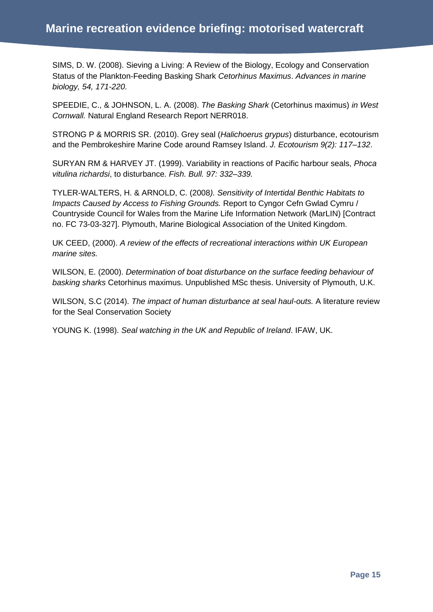SIMS, D. W. (2008). Sieving a Living: A Review of the Biology, Ecology and Conservation Status of the Plankton‐Feeding Basking Shark *Cetorhinus Maximus*. *Advances in marine biology, 54, 171-220*.

SPEEDIE, C., & JOHNSON, L. A. (2008). *The Basking Shark* (Cetorhinus maximus) *in West Cornwall.* Natural England Research Report NERR018.

STRONG P & MORRIS SR. (2010). Grey seal (*Halichoerus grypus*) disturbance, ecotourism and the Pembrokeshire Marine Code around Ramsey Island. *J. Ecotourism 9(2): 117–132*.

SURYAN RM & HARVEY JT. (1999). Variability in reactions of Pacific harbour seals, *Phoca vitulina richardsi*, to disturbance*. Fish. Bull. 97: 332–339.*

TYLER-WALTERS, H. & ARNOLD, C. (2008*). Sensitivity of Intertidal Benthic Habitats to Impacts Caused by Access to Fishing Grounds.* Report to Cyngor Cefn Gwlad Cymru / Countryside Council for Wales from the Marine Life Information Network (MarLIN) [Contract no. FC 73-03-327]. Plymouth, Marine Biological Association of the United Kingdom.

UK CEED, (2000). *A review of the effects of recreational interactions within UK European marine sites.*

WILSON, E. (2000). *Determination of boat disturbance on the surface feeding behaviour of basking sharks* Cetorhinus maximus. Unpublished MSc thesis. University of Plymouth, U.K.

WILSON, S.C (2014). *The impact of human disturbance at seal haul-outs.* A literature review for the Seal Conservation Society

YOUNG K. (1998). *Seal watching in the UK and Republic of Ireland*. IFAW, UK.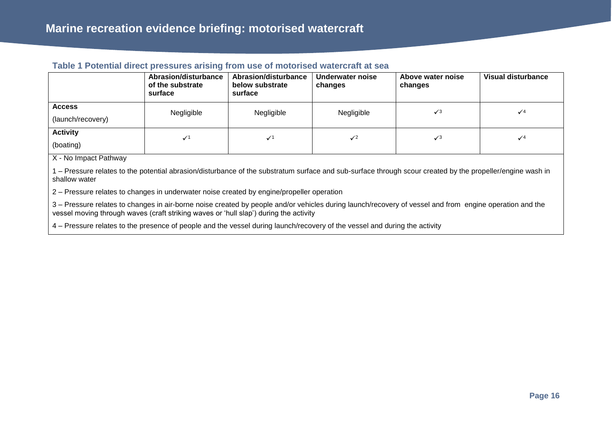#### **Table 1 Potential direct pressures arising from use of motorised watercraft at sea**

|                                    | Abrasion/disturbance<br>of the substrate<br>surface | Abrasion/disturbance<br>below substrate<br>surface | Underwater noise<br>changes | Above water noise<br>changes | <b>Visual disturbance</b> |
|------------------------------------|-----------------------------------------------------|----------------------------------------------------|-----------------------------|------------------------------|---------------------------|
| <b>Access</b><br>(launch/recovery) | Negligible                                          | Negligible                                         | Negligible                  | $\sqrt{3}$                   | $\sqrt{4}$                |
| <b>Activity</b><br>(boating)       | $\checkmark$                                        | $\checkmark$                                       | $\checkmark$                | $\sqrt{3}$                   | $\sqrt{4}$                |

X - No Impact Pathway

1 – Pressure relates to the potential abrasion/disturbance of the substratum surface and sub-surface through scour created by the propeller/engine wash in shallow water

2 – Pressure relates to changes in underwater noise created by engine/propeller operation

3 – Pressure relates to changes in air-borne noise created by people and/or vehicles during launch/recovery of vessel and from engine operation and the vessel moving through waves (craft striking waves or 'hull slap') during the activity

4 – Pressure relates to the presence of people and the vessel during launch/recovery of the vessel and during the activity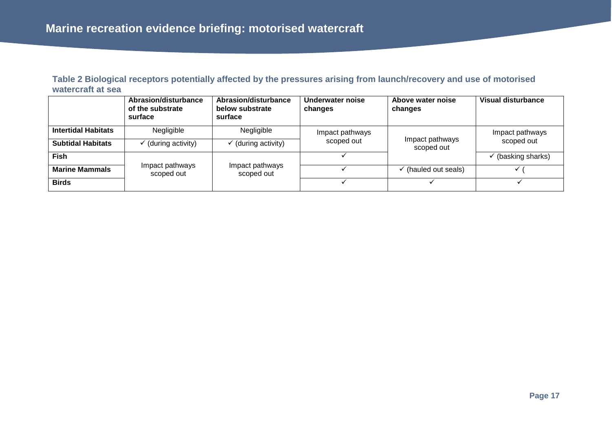| Table 2 Biological receptors potentially affected by the pressures arising from launch/recovery and use of motorised |  |
|----------------------------------------------------------------------------------------------------------------------|--|
| watercraft at sea                                                                                                    |  |

|                            | Abrasion/disturbance<br>of the substrate<br>surface | Abrasion/disturbance<br>below substrate<br>surface | Underwater noise<br>changes | Above water noise<br>changes    | Visual disturbance            |
|----------------------------|-----------------------------------------------------|----------------------------------------------------|-----------------------------|---------------------------------|-------------------------------|
| <b>Intertidal Habitats</b> | Negligible                                          | Negligible                                         | Impact pathways             |                                 | Impact pathways               |
| <b>Subtidal Habitats</b>   | (during activity)                                   | (during activity)                                  | scoped out                  | Impact pathways<br>scoped out   | scoped out                    |
| <b>Fish</b>                |                                                     |                                                    |                             |                                 | $\checkmark$ (basking sharks) |
| <b>Marine Mammals</b>      | Impact pathways<br>scoped out                       | Impact pathways<br>scoped out                      |                             | $\checkmark$ (hauled out seals) |                               |
| <b>Birds</b>               |                                                     |                                                    |                             |                                 |                               |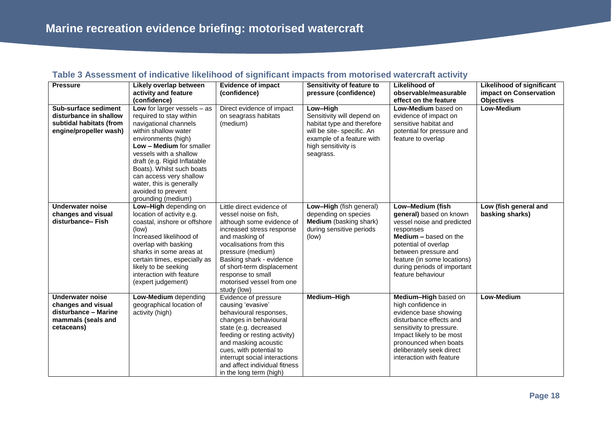| Table 3 Assessment of indicative likelihood of significant impacts from motorised watercraft activity |  |
|-------------------------------------------------------------------------------------------------------|--|
|                                                                                                       |  |

| <b>Pressure</b>                                                                                           | Likely overlap between<br>activity and feature<br>(confidence)                                                                                                                                                                                                                                                                                         | <b>Evidence of impact</b><br>(confidence)                                                                                                                                                                                                                                                                 | Sensitivity of feature to<br>pressure (confidence)                                                                                                                  | Likelihood of<br>observable/measurable<br>effect on the feature                                                                                                                                                                                           | <b>Likelihood of significant</b><br>impact on Conservation<br><b>Objectives</b> |
|-----------------------------------------------------------------------------------------------------------|--------------------------------------------------------------------------------------------------------------------------------------------------------------------------------------------------------------------------------------------------------------------------------------------------------------------------------------------------------|-----------------------------------------------------------------------------------------------------------------------------------------------------------------------------------------------------------------------------------------------------------------------------------------------------------|---------------------------------------------------------------------------------------------------------------------------------------------------------------------|-----------------------------------------------------------------------------------------------------------------------------------------------------------------------------------------------------------------------------------------------------------|---------------------------------------------------------------------------------|
| Sub-surface sediment<br>disturbance in shallow<br>subtidal habitats (from<br>engine/propeller wash)       | Low for larger vessels $-$ as<br>required to stay within<br>navigational channels<br>within shallow water<br>environments (high)<br>Low - Medium for smaller<br>vessels with a shallow<br>draft (e.g. Rigid Inflatable<br>Boats). Whilst such boats<br>can access very shallow<br>water, this is generally<br>avoided to prevent<br>grounding (medium) | Direct evidence of impact<br>on seagrass habitats<br>(medium)                                                                                                                                                                                                                                             | Low-High<br>Sensitivity will depend on<br>habitat type and therefore<br>will be site- specific. An<br>example of a feature with<br>high sensitivity is<br>seagrass. | Low-Medium based on<br>evidence of impact on<br>sensitive habitat and<br>potential for pressure and<br>feature to overlap                                                                                                                                 | <b>Low-Medium</b>                                                               |
| <b>Underwater noise</b><br>changes and visual<br>disturbance-Fish                                         | Low-High depending on<br>location of activity e.g.<br>coastal, inshore or offshore<br>(low)<br>Increased likelihood of<br>overlap with basking<br>sharks in some areas at<br>certain times, especially as<br>likely to be seeking<br>interaction with feature<br>(expert judgement)                                                                    | Little direct evidence of<br>vessel noise on fish,<br>although some evidence of<br>increased stress response<br>and masking of<br>vocalisations from this<br>pressure (medium)<br>Basking shark - evidence<br>of short-term displacement<br>response to small<br>motorised vessel from one<br>study (low) | Low-High (fish general)<br>depending on species<br>Medium (basking shark)<br>during sensitive periods<br>(low)                                                      | Low-Medium (fish<br>general) based on known<br>vessel noise and predicted<br>responses<br><b>Medium - based on the</b><br>potential of overlap<br>between pressure and<br>feature (in some locations)<br>during periods of important<br>feature behaviour | Low (fish general and<br>basking sharks)                                        |
| <b>Underwater noise</b><br>changes and visual<br>disturbance - Marine<br>mammals (seals and<br>cetaceans) | Low-Medium depending<br>geographical location of<br>activity (high)                                                                                                                                                                                                                                                                                    | Evidence of pressure<br>causing 'evasive'<br>behavioural responses,<br>changes in behavioural<br>state (e.g. decreased<br>feeding or resting activity)<br>and masking acoustic<br>cues, with potential to<br>interrupt social interactions<br>and affect individual fitness<br>in the long term (high)    | Medium-High                                                                                                                                                         | Medium-High based on<br>high confidence in<br>evidence base showing<br>disturbance effects and<br>sensitivity to pressure.<br>Impact likely to be most<br>pronounced when boats<br>deliberately seek direct<br>interaction with feature                   | Low-Medium                                                                      |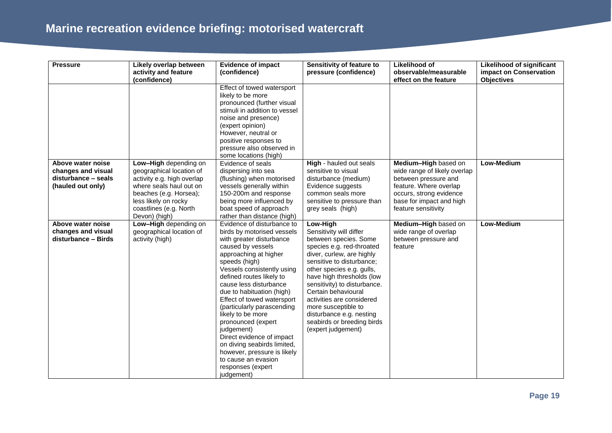# **Marine recreation evidence briefing: motorised watercraft**

| <b>Pressure</b>                                                                     | Likely overlap between<br>activity and feature                                                                                                                                                          | <b>Evidence of impact</b><br>(confidence)                                                                                                                                                                                                                                                                                                                                                                                                                                                                                                      | Sensitivity of feature to<br>pressure (confidence)                                                                                                                                                                                                                                                                                                                                                       | Likelihood of<br>observable/measurable                                                                                                                                               | <b>Likelihood of significant</b><br>impact on Conservation |
|-------------------------------------------------------------------------------------|---------------------------------------------------------------------------------------------------------------------------------------------------------------------------------------------------------|------------------------------------------------------------------------------------------------------------------------------------------------------------------------------------------------------------------------------------------------------------------------------------------------------------------------------------------------------------------------------------------------------------------------------------------------------------------------------------------------------------------------------------------------|----------------------------------------------------------------------------------------------------------------------------------------------------------------------------------------------------------------------------------------------------------------------------------------------------------------------------------------------------------------------------------------------------------|--------------------------------------------------------------------------------------------------------------------------------------------------------------------------------------|------------------------------------------------------------|
|                                                                                     | (confidence)                                                                                                                                                                                            |                                                                                                                                                                                                                                                                                                                                                                                                                                                                                                                                                |                                                                                                                                                                                                                                                                                                                                                                                                          | effect on the feature                                                                                                                                                                | <b>Objectives</b>                                          |
|                                                                                     |                                                                                                                                                                                                         | Effect of towed watersport<br>likely to be more<br>pronounced (further visual<br>stimuli in addition to vessel<br>noise and presence)<br>(expert opinion)<br>However, neutral or<br>positive responses to<br>pressure also observed in<br>some locations (high)                                                                                                                                                                                                                                                                                |                                                                                                                                                                                                                                                                                                                                                                                                          |                                                                                                                                                                                      |                                                            |
| Above water noise<br>changes and visual<br>disturbance - seals<br>(hauled out only) | Low-High depending on<br>geographical location of<br>activity e.g. high overlap<br>where seals haul out on<br>beaches (e.g. Horsea);<br>less likely on rocky<br>coastlines (e.g. North<br>Devon) (high) | Evidence of seals<br>dispersing into sea<br>(flushing) when motorised<br>vessels generally within<br>150-200m and response<br>being more influenced by<br>boat speed of approach<br>rather than distance (high)                                                                                                                                                                                                                                                                                                                                | High - hauled out seals<br>sensitive to visual<br>disturbance (medium)<br>Evidence suggests<br>common seals more<br>sensitive to pressure than<br>grey seals (high)                                                                                                                                                                                                                                      | Medium-High based on<br>wide range of likely overlap<br>between pressure and<br>feature. Where overlap<br>occurs, strong evidence<br>base for impact and high<br>feature sensitivity | Low-Medium                                                 |
| Above water noise<br>changes and visual<br>disturbance - Birds                      | Low-High depending on<br>geographical location of<br>activity (high)                                                                                                                                    | Evidence of disturbance to<br>birds by motorised vessels<br>with greater disturbance<br>caused by vessels<br>approaching at higher<br>speeds (high)<br>Vessels consistently using<br>defined routes likely to<br>cause less disturbance<br>due to habituation (high)<br>Effect of towed watersport<br>(particularly parascending<br>likely to be more<br>pronounced (expert<br>judgement)<br>Direct evidence of impact<br>on diving seabirds limited,<br>however, pressure is likely<br>to cause an evasion<br>responses (expert<br>judgement) | Low-High<br>Sensitivity will differ<br>between species. Some<br>species e.g. red-throated<br>diver, curlew, are highly<br>sensitive to disturbance;<br>other species e.g. gulls,<br>have high thresholds (low<br>sensitivity) to disturbance.<br>Certain behavioural<br>activities are considered<br>more susceptible to<br>disturbance e.g. nesting<br>seabirds or breeding birds<br>(expert judgement) | Medium-High based on<br>wide range of overlap<br>between pressure and<br>feature                                                                                                     | Low-Medium                                                 |